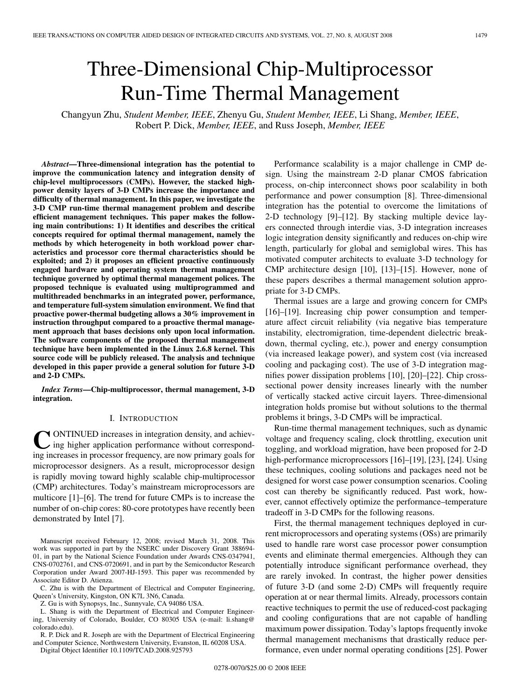# Three-Dimensional Chip-Multiprocessor Run-Time Thermal Management

Changyun Zhu, *Student Member, IEEE*, Zhenyu Gu, *Student Member, IEEE*, Li Shang, *Member, IEEE*, Robert P. Dick, *Member, IEEE*, and Russ Joseph, *Member, IEEE*

*Abstract***—Three-dimensional integration has the potential to improve the communication latency and integration density of chip-level multiprocessors (CMPs). However, the stacked highpower density layers of 3-D CMPs increase the importance and difficulty of thermal management. In this paper, we investigate the 3-D CMP run-time thermal management problem and describe efficient management techniques. This paper makes the following main contributions: 1) It identifies and describes the critical concepts required for optimal thermal management, namely the methods by which heterogeneity in both workload power characteristics and processor core thermal characteristics should be exploited; and 2) it proposes an efficient proactive continuously engaged hardware and operating system thermal management technique governed by optimal thermal management polices. The proposed technique is evaluated using multiprogrammed and multithreaded benchmarks in an integrated power, performance, and temperature full-system simulation environment. We find that proactive power-thermal budgeting allows a 30% improvement in instruction throughput compared to a proactive thermal management approach that bases decisions only upon local information. The software components of the proposed thermal management technique have been implemented in the Linux 2.6.8 kernel. This source code will be publicly released. The analysis and technique developed in this paper provide a general solution for future 3-D and 2-D CMPs.**

*Index Terms***—Chip-multiprocessor, thermal management, 3-D integration.**

## I. INTRODUCTION

**C** ONTINUED increases in integration density, and achieving higher application performance without corresponding increases in processor frequency, are now primary goals for ONTINUED increases in integration density, and achieving higher application performance without correspondmicroprocessor designers. As a result, microprocessor design is rapidly moving toward highly scalable chip-multiprocessor (CMP) architectures. Today's mainstream microprocessors are multicore [1]–[6]. The trend for future CMPs is to increase the number of on-chip cores: 80-core prototypes have recently been demonstrated by Intel [7].

Manuscript received February 12, 2008; revised March 31, 2008. This work was supported in part by the NSERC under Discovery Grant 388694- 01, in part by the National Science Foundation under Awards CNS-0347941, CNS-0702761, and CNS-0720691, and in part by the Semiconductor Research Corporation under Award 2007-HJ-1593. This paper was recommended by Associate Editor D. Atienza.

C. Zhu is with the Department of Electrical and Computer Engineering, Queen's University, Kingston, ON K7L 3N6, Canada.

Z. Gu is with Synopsys, Inc., Sunnyvale, CA 94086 USA.

L. Shang is with the Department of Electrical and Computer Engineering, University of Colorado, Boulder, CO 80305 USA (e-mail: li.shang@ colorado.edu).

R. P. Dick and R. Joseph are with the Department of Electrical Engineering and Computer Science, Northwestern University, Evanston, IL 60208 USA.

Digital Object Identifier 10.1109/TCAD.2008.925793

Performance scalability is a major challenge in CMP design. Using the mainstream 2-D planar CMOS fabrication process, on-chip interconnect shows poor scalability in both performance and power consumption [8]. Three-dimensional integration has the potential to overcome the limitations of 2-D technology [9]–[12]. By stacking multiple device layers connected through interdie vias, 3-D integration increases logic integration density significantly and reduces on-chip wire length, particularly for global and semiglobal wires. This has motivated computer architects to evaluate 3-D technology for CMP architecture design [10], [13]–[15]. However, none of these papers describes a thermal management solution appropriate for 3-D CMPs.

Thermal issues are a large and growing concern for CMPs [16]–[19]. Increasing chip power consumption and temperature affect circuit reliability (via negative bias temperature instability, electromigration, time-dependent dielectric breakdown, thermal cycling, etc.), power and energy consumption (via increased leakage power), and system cost (via increased cooling and packaging cost). The use of 3-D integration magnifies power dissipation problems [10], [20]–[22]. Chip crosssectional power density increases linearly with the number of vertically stacked active circuit layers. Three-dimensional integration holds promise but without solutions to the thermal problems it brings, 3-D CMPs will be impractical.

Run-time thermal management techniques, such as dynamic voltage and frequency scaling, clock throttling, execution unit toggling, and workload migration, have been proposed for 2-D high-performance microprocessors [16]–[19], [23], [24]. Using these techniques, cooling solutions and packages need not be designed for worst case power consumption scenarios. Cooling cost can thereby be significantly reduced. Past work, however, cannot effectively optimize the performance–temperature tradeoff in 3-D CMPs for the following reasons.

First, the thermal management techniques deployed in current microprocessors and operating systems (OSs) are primarily used to handle rare worst case processor power consumption events and eliminate thermal emergencies. Although they can potentially introduce significant performance overhead, they are rarely invoked. In contrast, the higher power densities of future 3-D (and some 2-D) CMPs will frequently require operation at or near thermal limits. Already, processors contain reactive techniques to permit the use of reduced-cost packaging and cooling configurations that are not capable of handling maximum power dissipation. Today's laptops frequently invoke thermal management mechanisms that drastically reduce performance, even under normal operating conditions [25]. Power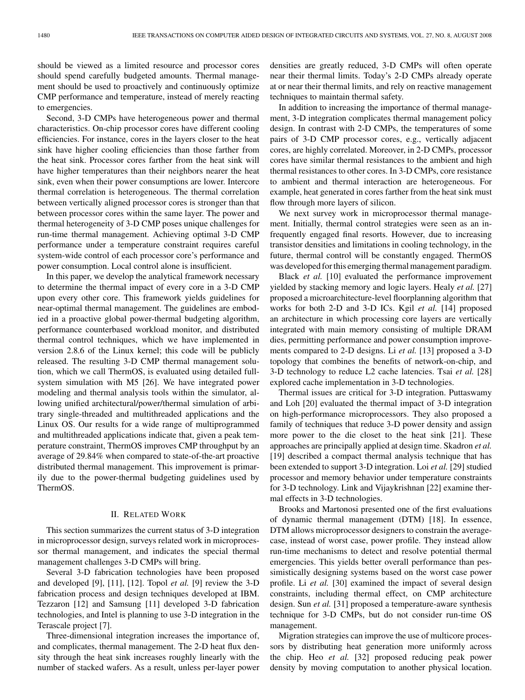should be viewed as a limited resource and processor cores should spend carefully budgeted amounts. Thermal management should be used to proactively and continuously optimize CMP performance and temperature, instead of merely reacting to emergencies.

Second, 3-D CMPs have heterogeneous power and thermal characteristics. On-chip processor cores have different cooling efficiencies. For instance, cores in the layers closer to the heat sink have higher cooling efficiencies than those farther from the heat sink. Processor cores farther from the heat sink will have higher temperatures than their neighbors nearer the heat sink, even when their power consumptions are lower. Intercore thermal correlation is heterogeneous. The thermal correlation between vertically aligned processor cores is stronger than that between processor cores within the same layer. The power and thermal heterogeneity of 3-D CMP poses unique challenges for run-time thermal management. Achieving optimal 3-D CMP performance under a temperature constraint requires careful system-wide control of each processor core's performance and power consumption. Local control alone is insufficient.

In this paper, we develop the analytical framework necessary to determine the thermal impact of every core in a 3-D CMP upon every other core. This framework yields guidelines for near-optimal thermal management. The guidelines are embodied in a proactive global power-thermal budgeting algorithm, performance counterbased workload monitor, and distributed thermal control techniques, which we have implemented in version 2.8.6 of the Linux kernel; this code will be publicly released. The resulting 3-D CMP thermal management solution, which we call ThermOS, is evaluated using detailed fullsystem simulation with M5 [26]. We have integrated power modeling and thermal analysis tools within the simulator, allowing unified architectural/power/thermal simulation of arbitrary single-threaded and multithreaded applications and the Linux OS. Our results for a wide range of multiprogrammed and multithreaded applications indicate that, given a peak temperature constraint, ThermOS improves CMP throughput by an average of 29.84% when compared to state-of-the-art proactive distributed thermal management. This improvement is primarily due to the power-thermal budgeting guidelines used by ThermOS.

## II. RELATED WORK

This section summarizes the current status of 3-D integration in microprocessor design, surveys related work in microprocessor thermal management, and indicates the special thermal management challenges 3-D CMPs will bring.

Several 3-D fabrication technologies have been proposed and developed [9], [11], [12]. Topol *et al.* [9] review the 3-D fabrication process and design techniques developed at IBM. Tezzaron [12] and Samsung [11] developed 3-D fabrication technologies, and Intel is planning to use 3-D integration in the Terascale project [7].

Three-dimensional integration increases the importance of, and complicates, thermal management. The 2-D heat flux density through the heat sink increases roughly linearly with the number of stacked wafers. As a result, unless per-layer power densities are greatly reduced, 3-D CMPs will often operate near their thermal limits. Today's 2-D CMPs already operate at or near their thermal limits, and rely on reactive management techniques to maintain thermal safety.

In addition to increasing the importance of thermal management, 3-D integration complicates thermal management policy design. In contrast with 2-D CMPs, the temperatures of some pairs of 3-D CMP processor cores, e.g., vertically adjacent cores, are highly correlated. Moreover, in 2-D CMPs, processor cores have similar thermal resistances to the ambient and high thermal resistances to other cores. In 3-D CMPs, core resistance to ambient and thermal interaction are heterogeneous. For example, heat generated in cores farther from the heat sink must flow through more layers of silicon.

We next survey work in microprocessor thermal management. Initially, thermal control strategies were seen as an infrequently engaged final resorts. However, due to increasing transistor densities and limitations in cooling technology, in the future, thermal control will be constantly engaged. ThermOS was developed for this emerging thermal management paradigm.

Black *et al.* [10] evaluated the performance improvement yielded by stacking memory and logic layers. Healy *et al.* [27] proposed a microarchitecture-level floorplanning algorithm that works for both 2-D and 3-D ICs. Kgil *et al.* [14] proposed an architecture in which processing core layers are vertically integrated with main memory consisting of multiple DRAM dies, permitting performance and power consumption improvements compared to 2-D designs. Li *et al.* [13] proposed a 3-D topology that combines the benefits of network-on-chip, and 3-D technology to reduce L2 cache latencies. Tsai *et al.* [28] explored cache implementation in 3-D technologies.

Thermal issues are critical for 3-D integration. Puttaswamy and Loh [20] evaluated the thermal impact of 3-D integration on high-performance microprocessors. They also proposed a family of techniques that reduce 3-D power density and assign more power to the die closet to the heat sink [21]. These approaches are principally applied at design time. Skadron *et al.* [19] described a compact thermal analysis technique that has been extended to support 3-D integration. Loi *et al.* [29] studied processor and memory behavior under temperature constraints for 3-D technology. Link and Vijaykrishnan [22] examine thermal effects in 3-D technologies.

Brooks and Martonosi presented one of the first evaluations of dynamic thermal management (DTM) [18]. In essence, DTM allows microprocessor designers to constrain the averagecase, instead of worst case, power profile. They instead allow run-time mechanisms to detect and resolve potential thermal emergencies. This yields better overall performance than pessimistically designing systems based on the worst case power profile. Li *et al.* [30] examined the impact of several design constraints, including thermal effect, on CMP architecture design. Sun *et al.* [31] proposed a temperature-aware synthesis technique for 3-D CMPs, but do not consider run-time OS management.

Migration strategies can improve the use of multicore processors by distributing heat generation more uniformly across the chip. Heo *et al.* [32] proposed reducing peak power density by moving computation to another physical location.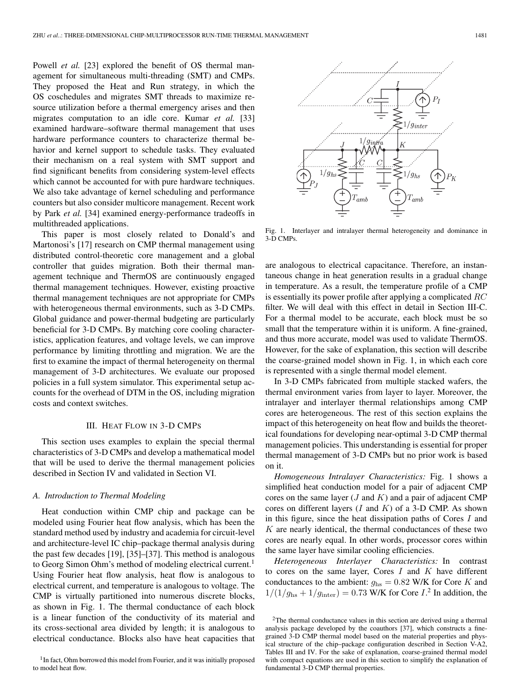Powell *et al.* [23] explored the benefit of OS thermal management for simultaneous multi-threading (SMT) and CMPs. They proposed the Heat and Run strategy, in which the OS coschedules and migrates SMT threads to maximize resource utilization before a thermal emergency arises and then migrates computation to an idle core. Kumar *et al.* [33] examined hardware–software thermal management that uses hardware performance counters to characterize thermal behavior and kernel support to schedule tasks. They evaluated their mechanism on a real system with SMT support and find significant benefits from considering system-level effects which cannot be accounted for with pure hardware techniques. We also take advantage of kernel scheduling and performance counters but also consider multicore management. Recent work by Park *et al.* [34] examined energy-performance tradeoffs in multithreaded applications.

This paper is most closely related to Donald's and Martonosi's [17] research on CMP thermal management using distributed control-theoretic core management and a global controller that guides migration. Both their thermal management technique and ThermOS are continuously engaged thermal management techniques. However, existing proactive thermal management techniques are not appropriate for CMPs with heterogeneous thermal environments, such as 3-D CMPs. Global guidance and power-thermal budgeting are particularly beneficial for 3-D CMPs. By matching core cooling characteristics, application features, and voltage levels, we can improve performance by limiting throttling and migration. We are the first to examine the impact of thermal heterogeneity on thermal management of 3-D architectures. We evaluate our proposed policies in a full system simulator. This experimental setup accounts for the overhead of DTM in the OS, including migration costs and context switches.

## III. HEAT FLOW IN 3-D CMPS

This section uses examples to explain the special thermal characteristics of 3-D CMPs and develop a mathematical model that will be used to derive the thermal management policies described in Section IV and validated in Section VI.

## *A. Introduction to Thermal Modeling*

Heat conduction within CMP chip and package can be modeled using Fourier heat flow analysis, which has been the standard method used by industry and academia for circuit-level and architecture-level IC chip–package thermal analysis during the past few decades [19], [35]–[37]. This method is analogous to Georg Simon Ohm's method of modeling electrical current.<sup>1</sup> Using Fourier heat flow analysis, heat flow is analogous to electrical current, and temperature is analogous to voltage. The CMP is virtually partitioned into numerous discrete blocks, as shown in Fig. 1. The thermal conductance of each block is a linear function of the conductivity of its material and its cross-sectional area divided by length; it is analogous to electrical conductance. Blocks also have heat capacities that



Fig. 1. Interlayer and intralayer thermal heterogeneity and dominance in 3-D CMPs.

are analogous to electrical capacitance. Therefore, an instantaneous change in heat generation results in a gradual change in temperature. As a result, the temperature profile of a CMP is essentially its power profile after applying a complicated  $RC$ filter. We will deal with this effect in detail in Section III-C. For a thermal model to be accurate, each block must be so small that the temperature within it is uniform. A fine-grained, and thus more accurate, model was used to validate ThermOS. However, for the sake of explanation, this section will describe the coarse-grained model shown in Fig. 1, in which each core is represented with a single thermal model element.

In 3-D CMPs fabricated from multiple stacked wafers, the thermal environment varies from layer to layer. Moreover, the intralayer and interlayer thermal relationships among CMP cores are heterogeneous. The rest of this section explains the impact of this heterogeneity on heat flow and builds the theoretical foundations for developing near-optimal 3-D CMP thermal management policies. This understanding is essential for proper thermal management of 3-D CMPs but no prior work is based on it.

*Homogeneous Intralayer Characteristics:* Fig. 1 shows a simplified heat conduction model for a pair of adjacent CMP cores on the same layer  $(J \text{ and } K)$  and a pair of adjacent CMP cores on different layers  $(I \text{ and } K)$  of a 3-D CMP. As shown in this figure, since the heat dissipation paths of Cores  $I$  and  $K$  are nearly identical, the thermal conductances of these two cores are nearly equal. In other words, processor cores within the same layer have similar cooling efficiencies.

*Heterogeneous Interlayer Characteristics:* In contrast to cores on the same layer, Cores  $I$  and  $K$  have different conductances to the ambient:  $g_{\text{hs}} = 0.82$  W/K for Core K and  $1/(1/g_{\text{hs}} + 1/g_{\text{inter}}) = 0.73$  W/K for Core I.<sup>2</sup> In addition, the

<sup>&</sup>lt;sup>1</sup> In fact, Ohm borrowed this model from Fourier, and it was initially proposed to model heat flow.

<sup>&</sup>lt;sup>2</sup>The thermal conductance values in this section are derived using a thermal analysis package developed by the coauthors [37], which constructs a finegrained 3-D CMP thermal model based on the material properties and physical structure of the chip–package configuration described in Section V-A2, Tables III and IV. For the sake of explanation, coarse-grained thermal model with compact equations are used in this section to simplify the explanation of fundamental 3-D CMP thermal properties.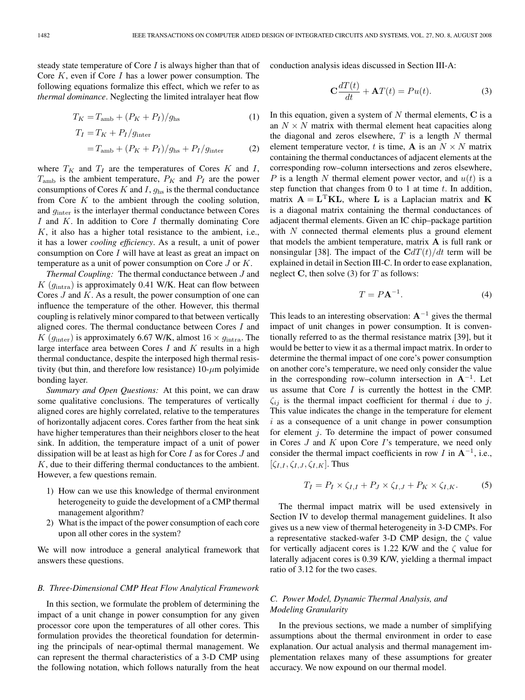steady state temperature of Core I is always higher than that of Core  $K$ , even if Core  $I$  has a lower power consumption. The following equations formalize this effect, which we refer to as *thermal dominance*. Neglecting the limited intralayer heat flow

$$
T_K = T_{\rm amb} + (P_K + P_I)/g_{\rm hs}
$$
 (1)

$$
T_I = T_K + P_I/g_{\text{inter}}
$$
  
=  $T_{\text{amb}} + (P_K + P_I)/g_{\text{hs}} + P_I/g_{\text{inter}}$  (2)

where  $T_K$  and  $T_I$  are the temperatures of Cores K and I,  $T_{\text{amb}}$  is the ambient temperature,  $P_K$  and  $P_I$  are the power consumptions of Cores  $K$  and  $I$ ,  $g_{\text{hs}}$  is the thermal conductance from Core  $K$  to the ambient through the cooling solution, and ginter is the interlayer thermal conductance between Cores I and K. In addition to Core I thermally dominating Core  $K$ , it also has a higher total resistance to the ambient, i.e., it has a lower *cooling efficiency*. As a result, a unit of power consumption on Core  $I$  will have at least as great an impact on temperature as a unit of power consumption on Core J or K.

*Thermal Coupling:* The thermal conductance between J and  $K$  ( $g_{\text{intra}}$ ) is approximately 0.41 W/K. Heat can flow between Cores  $J$  and  $K$ . As a result, the power consumption of one can influence the temperature of the other. However, this thermal coupling is relatively minor compared to that between vertically aligned cores. The thermal conductance between Cores I and K ( $g_{\text{inter}}$ ) is approximately 6.67 W/K, almost  $16 \times g_{\text{intra}}$ . The large interface area between Cores  $I$  and  $K$  results in a high thermal conductance, despite the interposed high thermal resistivity (but thin, and therefore low resistance)  $10$ - $\mu$ m polyimide bonding layer.

*Summary and Open Questions:* At this point, we can draw some qualitative conclusions. The temperatures of vertically aligned cores are highly correlated, relative to the temperatures of horizontally adjacent cores. Cores farther from the heat sink have higher temperatures than their neighbors closer to the heat sink. In addition, the temperature impact of a unit of power dissipation will be at least as high for Core I as for Cores J and K, due to their differing thermal conductances to the ambient. However, a few questions remain.

- 1) How can we use this knowledge of thermal environment heterogeneity to guide the development of a CMP thermal management algorithm?
- 2) What is the impact of the power consumption of each core upon all other cores in the system?

We will now introduce a general analytical framework that answers these questions.

## *B. Three-Dimensional CMP Heat Flow Analytical Framework*

In this section, we formulate the problem of determining the impact of a unit change in power consumption for any given processor core upon the temperatures of all other cores. This formulation provides the theoretical foundation for determining the principals of near-optimal thermal management. We can represent the thermal characteristics of a 3-D CMP using the following notation, which follows naturally from the heat conduction analysis ideas discussed in Section III-A:

$$
\mathbf{C}\frac{dT(t)}{dt} + \mathbf{A}T(t) = Pu(t).
$$
 (3)

In this equation, given a system of  $N$  thermal elements,  $C$  is a an  $N \times N$  matrix with thermal element heat capacities along the diagonal and zeros elsewhere,  $T$  is a length  $N$  thermal element temperature vector, t is time, **A** is an  $N \times N$  matrix containing the thermal conductances of adjacent elements at the corresponding row–column intersections and zeros elsewhere, P is a length N thermal element power vector, and  $u(t)$  is a step function that changes from 0 to 1 at time  $t$ . In addition, matrix  $A = L<sup>T</sup>KL$ , where L is a Laplacian matrix and K is a diagonal matrix containing the thermal conductances of adjacent thermal elements. Given an IC chip–package partition with  $N$  connected thermal elements plus a ground element that models the ambient temperature, matrix A is full rank or nonsingular [38]. The impact of the  $CdT(t)/dt$  term will be explained in detail in Section III-C. In order to ease explanation, neglect C, then solve  $(3)$  for T as follows:

$$
T = P\mathbf{A}^{-1}.\tag{4}
$$

This leads to an interesting observation:  $A^{-1}$  gives the thermal impact of unit changes in power consumption. It is conventionally referred to as the thermal resistance matrix [39], but it would be better to view it as a thermal impact matrix. In order to determine the thermal impact of one core's power consumption on another core's temperature, we need only consider the value in the corresponding row–column intersection in  $A^{-1}$ . Let us assume that Core I is currently the hottest in the CMP.  $\zeta_{ii}$  is the thermal impact coefficient for thermal i due to j. This value indicates the change in the temperature for element  $i$  as a consequence of a unit change in power consumption for element  $j$ . To determine the impact of power consumed in Cores  $J$  and  $K$  upon Core  $I$ 's temperature, we need only consider the thermal impact coefficients in row I in  $A^{-1}$ , i.e.,  $[\zeta_{I,I}, \zeta_{I,J}, \zeta_{I,K}]$ . Thus

$$
T_I = P_I \times \zeta_{I,I} + P_J \times \zeta_{I,J} + P_K \times \zeta_{I,K}.
$$
 (5)

The thermal impact matrix will be used extensively in Section IV to develop thermal management guidelines. It also gives us a new view of thermal heterogeneity in 3-D CMPs. For a representative stacked-wafer 3-D CMP design, the  $\zeta$  value for vertically adjacent cores is 1.22 K/W and the  $\zeta$  value for laterally adjacent cores is 0.39 K/W, yielding a thermal impact ratio of 3.12 for the two cases.

# *C. Power Model, Dynamic Thermal Analysis, and Modeling Granularity*

In the previous sections, we made a number of simplifying assumptions about the thermal environment in order to ease explanation. Our actual analysis and thermal management implementation relaxes many of these assumptions for greater accuracy. We now expound on our thermal model.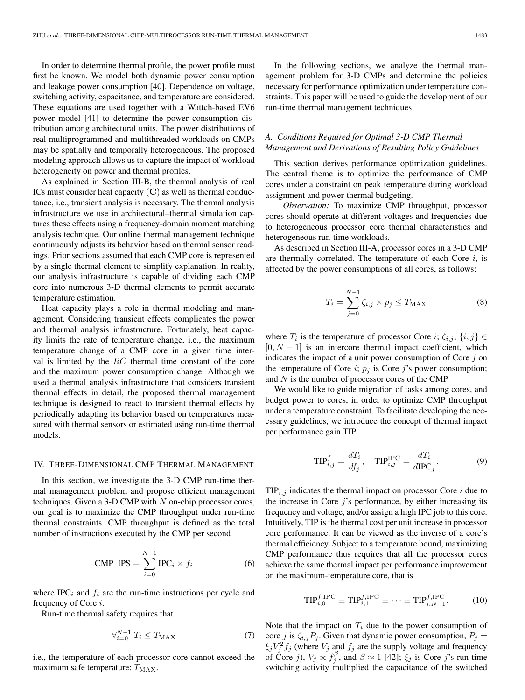In order to determine thermal profile, the power profile must first be known. We model both dynamic power consumption and leakage power consumption [40]. Dependence on voltage, switching activity, capacitance, and temperature are considered. These equations are used together with a Wattch-based EV6 power model [41] to determine the power consumption distribution among architectural units. The power distributions of real multiprogrammed and multithreaded workloads on CMPs may be spatially and temporally heterogeneous. The proposed modeling approach allows us to capture the impact of workload heterogeneity on power and thermal profiles.

As explained in Section III-B, the thermal analysis of real ICs must consider heat capacity  $(C)$  as well as thermal conductance, i.e., transient analysis is necessary. The thermal analysis infrastructure we use in architectural–thermal simulation captures these effects using a frequency-domain moment matching analysis technique. Our online thermal management technique continuously adjusts its behavior based on thermal sensor readings. Prior sections assumed that each CMP core is represented by a single thermal element to simplify explanation. In reality, our analysis infrastructure is capable of dividing each CMP core into numerous 3-D thermal elements to permit accurate temperature estimation.

Heat capacity plays a role in thermal modeling and management. Considering transient effects complicates the power and thermal analysis infrastructure. Fortunately, heat capacity limits the rate of temperature change, i.e., the maximum temperature change of a CMP core in a given time interval is limited by the RC thermal time constant of the core and the maximum power consumption change. Although we used a thermal analysis infrastructure that considers transient thermal effects in detail, the proposed thermal management technique is designed to react to transient thermal effects by periodically adapting its behavior based on temperatures measured with thermal sensors or estimated using run-time thermal models.

#### IV. THREE-DIMENSIONAL CMP THERMAL MANAGEMENT

In this section, we investigate the 3-D CMP run-time thermal management problem and propose efficient management techniques. Given a 3-D CMP with  $N$  on-chip processor cores, our goal is to maximize the CMP throughput under run-time thermal constraints. CMP throughput is defined as the total number of instructions executed by the CMP per second

$$
CMP\_IPS = \sum_{i=0}^{N-1} IPC_i \times f_i
$$
 (6)

where  $IPC_i$  and  $f_i$  are the run-time instructions per cycle and frequency of Core i.

Run-time thermal safety requires that

$$
\forall_{i=0}^{N-1} T_i \le T_{\text{MAX}} \tag{7}
$$

i.e., the temperature of each processor core cannot exceed the maximum safe temperature:  $T_{MAX}$ .

In the following sections, we analyze the thermal management problem for 3-D CMPs and determine the policies necessary for performance optimization under temperature constraints. This paper will be used to guide the development of our run-time thermal management techniques.

# *A. Conditions Required for Optimal 3-D CMP Thermal Management and Derivations of Resulting Policy Guidelines*

This section derives performance optimization guidelines. The central theme is to optimize the performance of CMP cores under a constraint on peak temperature during workload assignment and power-thermal budgeting.

*Observation:* To maximize CMP throughput, processor cores should operate at different voltages and frequencies due to heterogeneous processor core thermal characteristics and heterogeneous run-time workloads.

As described in Section III-A, processor cores in a 3-D CMP are thermally correlated. The temperature of each Core  $i$ , is affected by the power consumptions of all cores, as follows:

$$
T_i = \sum_{j=0}^{N-1} \zeta_{i,j} \times p_j \le T_{\text{MAX}}
$$
 (8)

where  $T_i$  is the temperature of processor Core *i*;  $\zeta_{i,j}$ ,  $\{i,j\} \in$  $[0, N - 1]$  is an intercore thermal impact coefficient, which indicates the impact of a unit power consumption of Core  $j$  on the temperature of Core i;  $p_j$  is Core j's power consumption; and N is the number of processor cores of the CMP.

We would like to guide migration of tasks among cores, and budget power to cores, in order to optimize CMP throughput under a temperature constraint. To facilitate developing the necessary guidelines, we introduce the concept of thermal impact per performance gain TIP

$$
\text{TIP}_{i,j}^f = \frac{dT_i}{df_j}, \quad \text{TIP}_{i,j}^{\text{IPC}} = \frac{dT_i}{d\text{IPC}_j}.
$$
 (9)

 $TIP_{i,j}$  indicates the thermal impact on processor Core i due to the increase in Core  $j$ 's performance, by either increasing its frequency and voltage, and/or assign a high IPC job to this core. Intuitively, TIP is the thermal cost per unit increase in processor core performance. It can be viewed as the inverse of a core's thermal efficiency. Subject to a temperature bound, maximizing CMP performance thus requires that all the processor cores achieve the same thermal impact per performance improvement on the maximum-temperature core, that is

$$
\text{TIP}_{i,0}^{f,\text{IPC}} \equiv \text{TIP}_{i,1}^{f,\text{IPC}} \equiv \dots \equiv \text{TIP}_{i,N-1}^{f,\text{IPC}}.
$$
 (10)

Note that the impact on  $T_i$  due to the power consumption of core j is  $\zeta_{i,j}P_j$ . Given that dynamic power consumption,  $P_j =$  $\xi_j V_j^2 f_j$  (where  $V_j$  and  $f_j$  are the supply voltage and frequency of Core j),  $V_j \propto f_j^{\beta}$ , and  $\beta \approx 1$  [42];  $\xi_j$  is Core j's run-time switching activity multiplied the capacitance of the switched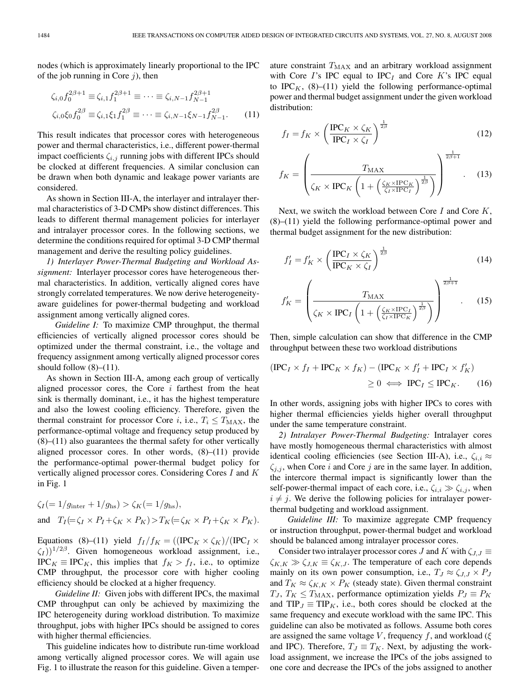nodes (which is approximately linearly proportional to the IPC of the job running in Core  $j$ ), then

$$
\zeta_{i,0} f_0^{2\beta+1} \equiv \zeta_{i,1} f_1^{2\beta+1} \equiv \dots \equiv \zeta_{i,N-1} f_{N-1}^{2\beta+1}
$$
  

$$
\zeta_{i,0} \xi_0 f_0^{2\beta} \equiv \zeta_{i,1} \xi_1 f_1^{2\beta} \equiv \dots \equiv \zeta_{i,N-1} \xi_{N-1} f_{N-1}^{2\beta}. \tag{11}
$$

This result indicates that processor cores with heterogeneous power and thermal characteristics, i.e., different power-thermal impact coefficients  $\zeta_{i,j}$  running jobs with different IPCs should be clocked at different frequencies. A similar conclusion can be drawn when both dynamic and leakage power variants are considered.

As shown in Section III-A, the interlayer and intralayer thermal characteristics of 3-D CMPs show distinct differences. This leads to different thermal management policies for interlayer and intralayer processor cores. In the following sections, we determine the conditions required for optimal 3-D CMP thermal management and derive the resulting policy guidelines.

*1) Interlayer Power-Thermal Budgeting and Workload Assignment:* Interlayer processor cores have heterogeneous thermal characteristics. In addition, vertically aligned cores have strongly correlated temperatures. We now derive heterogeneityaware guidelines for power-thermal budgeting and workload assignment among vertically aligned cores.

*Guideline I:* To maximize CMP throughput, the thermal efficiencies of vertically aligned processor cores should be optimized under the thermal constraint, i.e., the voltage and frequency assignment among vertically aligned processor cores should follow  $(8)$ – $(11)$ .

As shown in Section III-A, among each group of vertically aligned processor cores, the Core  $i$  farthest from the heat sink is thermally dominant, i.e., it has the highest temperature and also the lowest cooling efficiency. Therefore, given the thermal constraint for processor Core *i*, i.e.,  $T_i \leq T_{MAX}$ , the performance-optimal voltage and frequency setup produced by (8)–(11) also guarantees the thermal safety for other vertically aligned processor cores. In other words, (8)–(11) provide the performance-optimal power-thermal budget policy for vertically aligned processor cores. Considering Cores I and K in Fig. 1

$$
\zeta_I(=1/g_{\text{inter}}+1/g_{\text{hs}}) > \zeta_K(=1/g_{\text{hs}}),
$$
  
and 
$$
T_I(=\zeta_I \times P_I + \zeta_K \times P_K) > T_K(=\zeta_K \times P_I + \zeta_K \times P_K).
$$

Equations (8)–(11) yield  $f_I/f_K = ((IPC_K \times \zeta_K)/(IPC_I \times$  $\zeta_I$ ))<sup>1/2 $\beta$ </sup>. Given homogeneous workload assignment, i.e.,  $IPC_K \equiv IPC_K$ , this implies that  $f_K > f_I$ , i.e., to optimize CMP throughput, the processor core with higher cooling efficiency should be clocked at a higher frequency.

*Guideline II:* Given jobs with different IPCs, the maximal CMP throughput can only be achieved by maximizing the IPC heterogeneity during workload distribution. To maximize throughput, jobs with higher IPCs should be assigned to cores with higher thermal efficiencies.

This guideline indicates how to distribute run-time workload among vertically aligned processor cores. We will again use Fig. 1 to illustrate the reason for this guideline. Given a temperature constraint  $T_{MAX}$  and an arbitrary workload assignment with Core I's IPC equal to IPC<sub>I</sub> and Core K's IPC equal to IPC<sub>K</sub>,  $(8)$ – $(11)$  yield the following performance-optimal power and thermal budget assignment under the given workload distribution:

$$
f_I = f_K \times \left(\frac{\text{IPC}_K \times \zeta_K}{\text{IPC}_I \times \zeta_I}\right)^{\frac{1}{2\beta}}
$$
(12)

$$
f_K = \left(\frac{T_{\text{MAX}}}{\zeta_K \times \text{IPC}_K \left(1 + \left(\frac{\zeta_K \times \text{IPC}_K}{\zeta_I \times \text{IPC}_I}\right)^{\frac{1}{2\beta}}\right)}\right)^{\frac{1}{2\beta + 1}}.
$$
 (13)

Next, we switch the workload between Core  $I$  and Core  $K$ , (8)–(11) yield the following performance-optimal power and thermal budget assignment for the new distribution:

$$
f'_I = f'_K \times \left(\frac{\text{IPC}_I \times \zeta_K}{\text{IPC}_K \times \zeta_I}\right)^{\frac{1}{2\beta}}
$$
(14)

$$
f'_{K} = \left(\frac{T_{\text{MAX}}}{\zeta_{K} \times \text{IPC}_{I} \left(1 + \left(\frac{\zeta_{K} \times \text{IPC}_{I}}{\zeta_{I} \times \text{IPC}_{K}}\right)^{\frac{1}{2\beta}}\right)}\right)^{\frac{1}{2\beta + 1}}.
$$
 (15)

Then, simple calculation can show that difference in the CMP throughput between these two workload distributions

$$
(\text{IPC}_I \times f_I + \text{IPC}_K \times f_K) - (\text{IPC}_K \times f'_I + \text{IPC}_I \times f'_K)
$$
  
\n
$$
\geq 0 \iff \text{IPC}_I \leq \text{IPC}_K. \tag{16}
$$

In other words, assigning jobs with higher IPCs to cores with higher thermal efficiencies yields higher overall throughput under the same temperature constraint.

*2) Intralayer Power-Thermal Budgeting:* Intralayer cores have mostly homogeneous thermal characteristics with almost identical cooling efficiencies (see Section III-A), i.e.,  $\zeta_{i,i} \approx$  $\zeta_{i,j}$ , when Core i and Core j are in the same layer. In addition, the intercore thermal impact is significantly lower than the self-power-thermal impact of each core, i.e.,  $\zeta_{i,i} \gg \zeta_{i,j}$ , when  $i \neq j$ . We derive the following policies for intralayer powerthermal budgeting and workload assignment.

*Guideline III:* To maximize aggregate CMP frequency or instruction throughput, power-thermal budget and workload should be balanced among intralayer processor cores.

Consider two intralayer processor cores J and K with  $\zeta_{J,J} \equiv$  $\zeta_{K,K} \gg \zeta_{J,K} \equiv \zeta_{K,J}$ . The temperature of each core depends mainly on its own power consumption, i.e.,  $T_J \approx \zeta_{J,J} \times P_J$ and  $T_K \approx \zeta_{K,K} \times P_K$  (steady state). Given thermal constraint  $T_J$ ,  $T_K \leq T_{\text{MAX}}$ , performance optimization yields  $P_J \equiv P_K$ and  $TIP_J \equiv TIP_K$ , i.e., both cores should be clocked at the same frequency and execute workload with the same IPC. This guideline can also be motivated as follows. Assume both cores are assigned the same voltage V, frequency f, and workload ( $\xi$ and IPC). Therefore,  $T_J \equiv T_K$ . Next, by adjusting the workload assignment, we increase the IPCs of the jobs assigned to one core and decrease the IPCs of the jobs assigned to another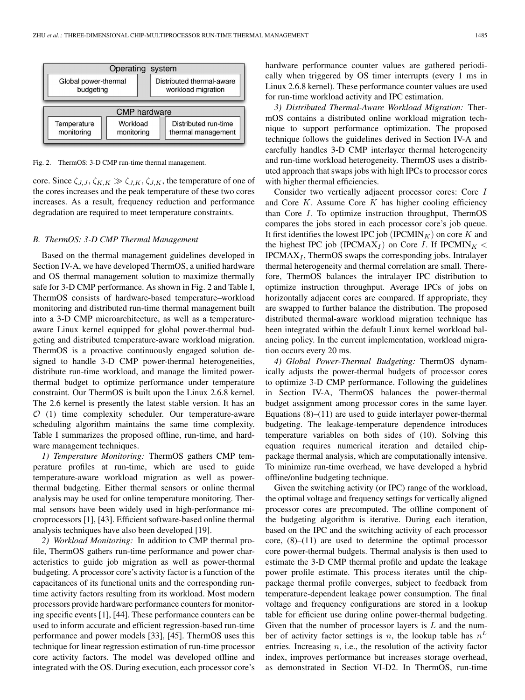

Fig. 2. ThermOS: 3-D CMP run-time thermal management.

core. Since  $\zeta_{J,J}, \zeta_{K,K} \gg \zeta_{J,K}, \zeta_{J,K}$ , the temperature of one of the cores increases and the peak temperature of these two cores increases. As a result, frequency reduction and performance degradation are required to meet temperature constraints.

#### *B. ThermOS: 3-D CMP Thermal Management*

Based on the thermal management guidelines developed in Section IV-A, we have developed ThermOS, a unified hardware and OS thermal management solution to maximize thermally safe for 3-D CMP performance. As shown in Fig. 2 and Table I, ThermOS consists of hardware-based temperature–workload monitoring and distributed run-time thermal management built into a 3-D CMP microarchitecture, as well as a temperatureaware Linux kernel equipped for global power-thermal budgeting and distributed temperature-aware workload migration. ThermOS is a proactive continuously engaged solution designed to handle 3-D CMP power-thermal heterogeneities, distribute run-time workload, and manage the limited powerthermal budget to optimize performance under temperature constraint. Our ThermOS is built upon the Linux 2.6.8 kernel. The 2.6 kernel is presently the latest stable version. It has an  $O(1)$  time complexity scheduler. Our temperature-aware scheduling algorithm maintains the same time complexity. Table I summarizes the proposed offline, run-time, and hardware management techniques.

*1) Temperature Monitoring:* ThermOS gathers CMP temperature profiles at run-time, which are used to guide temperature-aware workload migration as well as powerthermal budgeting. Either thermal sensors or online thermal analysis may be used for online temperature monitoring. Thermal sensors have been widely used in high-performance microprocessors [1], [43]. Efficient software-based online thermal analysis techniques have also been developed [19].

*2) Workload Monitoring:* In addition to CMP thermal profile, ThermOS gathers run-time performance and power characteristics to guide job migration as well as power-thermal budgeting. A processor core's activity factor is a function of the capacitances of its functional units and the corresponding runtime activity factors resulting from its workload. Most modern processors provide hardware performance counters for monitoring specific events [1], [44]. These performance counters can be used to inform accurate and efficient regression-based run-time performance and power models [33], [45]. ThermOS uses this technique for linear regression estimation of run-time processor core activity factors. The model was developed offline and integrated with the OS. During execution, each processor core's

hardware performance counter values are gathered periodically when triggered by OS timer interrupts (every 1 ms in Linux 2.6.8 kernel). These performance counter values are used for run-time workload activity and IPC estimation.

*3) Distributed Thermal-Aware Workload Migration:* ThermOS contains a distributed online workload migration technique to support performance optimization. The proposed technique follows the guidelines derived in Section IV-A and carefully handles 3-D CMP interlayer thermal heterogeneity and run-time workload heterogeneity. ThermOS uses a distributed approach that swaps jobs with high IPCs to processor cores with higher thermal efficiencies.

Consider two vertically adjacent processor cores: Core I and Core  $K$ . Assume Core  $K$  has higher cooling efficiency than Core I. To optimize instruction throughput, ThermOS compares the jobs stored in each processor core's job queue. It first identifies the lowest IPC job (IPCMIN $_K$ ) on core K and the highest IPC job (IPCMAX<sub>I</sub>) on Core I. If IPCMIN $_K$  <  $IPCMAX<sub>I</sub>$ , ThermOS swaps the corresponding jobs. Intralayer thermal heterogeneity and thermal correlation are small. Therefore, ThermOS balances the intralayer IPC distribution to optimize instruction throughput. Average IPCs of jobs on horizontally adjacent cores are compared. If appropriate, they are swapped to further balance the distribution. The proposed distributed thermal-aware workload migration technique has been integrated within the default Linux kernel workload balancing policy. In the current implementation, workload migration occurs every 20 ms.

*4) Global Power-Thermal Budgeting:* ThermOS dynamically adjusts the power-thermal budgets of processor cores to optimize 3-D CMP performance. Following the guidelines in Section IV-A, ThermOS balances the power-thermal budget assignment among processor cores in the same layer. Equations  $(8)$ – $(11)$  are used to guide interlayer power-thermal budgeting. The leakage-temperature dependence introduces temperature variables on both sides of (10). Solving this equation requires numerical iteration and detailed chippackage thermal analysis, which are computationally intensive. To minimize run-time overhead, we have developed a hybrid offline/online budgeting technique.

Given the switching activity (or IPC) range of the workload, the optimal voltage and frequency settings for vertically aligned processor cores are precomputed. The offline component of the budgeting algorithm is iterative. During each iteration, based on the IPC and the switching activity of each processor core,  $(8)$ – $(11)$  are used to determine the optimal processor core power-thermal budgets. Thermal analysis is then used to estimate the 3-D CMP thermal profile and update the leakage power profile estimate. This process iterates until the chippackage thermal profile converges, subject to feedback from temperature-dependent leakage power consumption. The final voltage and frequency configurations are stored in a lookup table for efficient use during online power-thermal budgeting. Given that the number of processor layers is  $L$  and the number of activity factor settings is n, the lookup table has  $n<sup>L</sup>$ entries. Increasing  $n$ , i.e., the resolution of the activity factor index, improves performance but increases storage overhead, as demonstrated in Section VI-D2. In ThermOS, run-time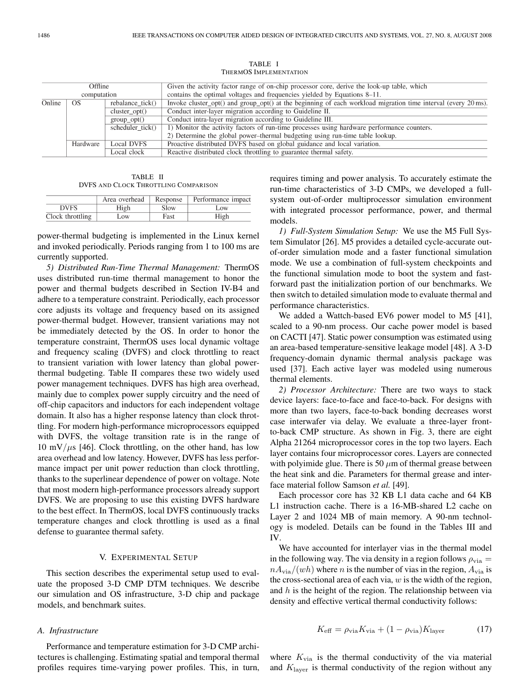| Offline<br>computation |                                 |                  | Given the activity factor range of on-chip processor core, derive the look-up table, which                               |  |
|------------------------|---------------------------------|------------------|--------------------------------------------------------------------------------------------------------------------------|--|
|                        |                                 |                  | contains the optimal voltages and frequencies yielded by Equations 8–11.                                                 |  |
| Online                 | OS.                             | rebalance tick() | Invoke cluster opt() and group opt() at the beginning of each workload migration time interval (every $20 \text{ ms}$ ). |  |
|                        |                                 | cluster $opt()$  | Conduct inter-layer migration according to Guideline II.                                                                 |  |
|                        | group opt()<br>scheduler tick() |                  | Conduct intra-layer migration according to Guideline III.                                                                |  |
|                        |                                 |                  | 1) Monitor the activity factors of run-time processes using hardware performance counters.                               |  |
|                        |                                 |                  | 2) Determine the global power-thermal budgeting using run-time table lookup.                                             |  |
|                        | Hardware                        | Local DVFS       | Proactive distributed DVFS based on global guidance and local variation.                                                 |  |
|                        |                                 | Local clock      | Reactive distributed clock throttling to guarantee thermal safety.                                                       |  |

TABLE I THERMOS IMPLEMENTATION

TABLE II DVFS AND CLOCK THROTTLING COMPARISON

|                  | Area overhead | Response | Performance impact |
|------------------|---------------|----------|--------------------|
| <b>DVFS</b>      | High          | Slow     | Low                |
| Clock throttling | .OW           | Fast     | High               |

power-thermal budgeting is implemented in the Linux kernel and invoked periodically. Periods ranging from 1 to 100 ms are currently supported.

*5) Distributed Run-Time Thermal Management:* ThermOS uses distributed run-time thermal management to honor the power and thermal budgets described in Section IV-B4 and adhere to a temperature constraint. Periodically, each processor core adjusts its voltage and frequency based on its assigned power-thermal budget. However, transient variations may not be immediately detected by the OS. In order to honor the temperature constraint, ThermOS uses local dynamic voltage and frequency scaling (DVFS) and clock throttling to react to transient variation with lower latency than global powerthermal budgeting. Table II compares these two widely used power management techniques. DVFS has high area overhead, mainly due to complex power supply circuitry and the need of off-chip capacitors and inductors for each independent voltage domain. It also has a higher response latency than clock throttling. For modern high-performance microprocessors equipped with DVFS, the voltage transition rate is in the range of 10 mV/ $\mu$ s [46]. Clock throttling, on the other hand, has low area overhead and low latency. However, DVFS has less performance impact per unit power reduction than clock throttling, thanks to the superlinear dependence of power on voltage. Note that most modern high-performance processors already support DVFS. We are proposing to use this existing DVFS hardware to the best effect. In ThermOS, local DVFS continuously tracks temperature changes and clock throttling is used as a final defense to guarantee thermal safety.

#### V. EXPERIMENTAL SETUP

This section describes the experimental setup used to evaluate the proposed 3-D CMP DTM techniques. We describe our simulation and OS infrastructure, 3-D chip and package models, and benchmark suites.

# *A. Infrastructure*

Performance and temperature estimation for 3-D CMP architectures is challenging. Estimating spatial and temporal thermal profiles requires time-varying power profiles. This, in turn, requires timing and power analysis. To accurately estimate the run-time characteristics of 3-D CMPs, we developed a fullsystem out-of-order multiprocessor simulation environment with integrated processor performance, power, and thermal models.

*1) Full-System Simulation Setup:* We use the M5 Full System Simulator [26]. M5 provides a detailed cycle-accurate outof-order simulation mode and a faster functional simulation mode. We use a combination of full-system checkpoints and the functional simulation mode to boot the system and fastforward past the initialization portion of our benchmarks. We then switch to detailed simulation mode to evaluate thermal and performance characteristics.

We added a Wattch-based EV6 power model to M5 [41], scaled to a 90-nm process. Our cache power model is based on CACTI [47]. Static power consumption was estimated using an area-based temperature-sensitive leakage model [48]. A 3-D frequency-domain dynamic thermal analysis package was used [37]. Each active layer was modeled using numerous thermal elements.

*2) Processor Architecture:* There are two ways to stack device layers: face-to-face and face-to-back. For designs with more than two layers, face-to-back bonding decreases worst case interwafer via delay. We evaluate a three-layer frontto-back CMP structure. As shown in Fig. 3, there are eight Alpha 21264 microprocessor cores in the top two layers. Each layer contains four microprocessor cores. Layers are connected with polyimide glue. There is 50  $\mu$ m of thermal grease between the heat sink and die. Parameters for thermal grease and interface material follow Samson *et al.* [49].

Each processor core has 32 KB L1 data cache and 64 KB L1 instruction cache. There is a 16-MB-shared L2 cache on Layer 2 and 1024 MB of main memory. A 90-nm technology is modeled. Details can be found in the Tables III and IV.

We have accounted for interlayer vias in the thermal model in the following way. The via density in a region follows  $\rho_{\text{via}} =$  $nA_{\text{via}}/(wh)$  where n is the number of vias in the region,  $A_{\text{via}}$  is the cross-sectional area of each via,  $w$  is the width of the region, and  $h$  is the height of the region. The relationship between via density and effective vertical thermal conductivity follows:

$$
K_{\text{eff}} = \rho_{\text{via}} K_{\text{via}} + (1 - \rho_{\text{via}}) K_{\text{layer}} \tag{17}
$$

where  $K_{via}$  is the thermal conductivity of the via material and  $K_{\text{layer}}$  is thermal conductivity of the region without any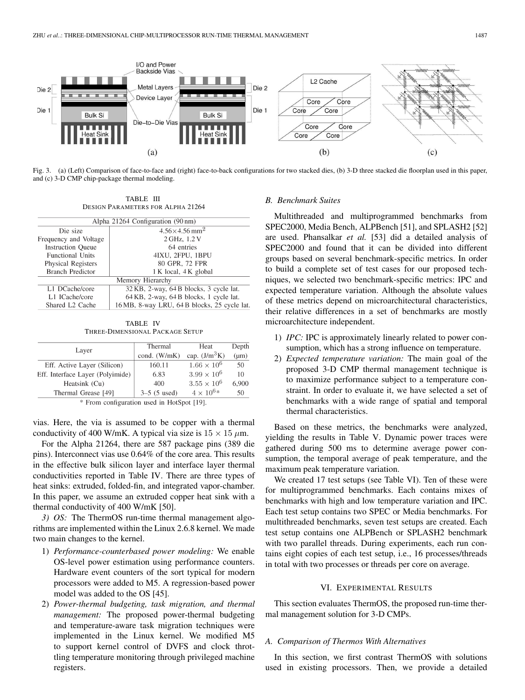

Fig. 3. (a) (Left) Comparison of face-to-face and (right) face-to-back configurations for two stacked dies, (b) 3-D three stacked die floorplan used in this paper, and (c) 3-D CMP chip-package thermal modeling.

TABLE III DESIGN PARAMETERS FOR ALPHA 21264

| Alpha 21264 Configuration (90 nm) |                                                                  |  |  |  |
|-----------------------------------|------------------------------------------------------------------|--|--|--|
| Die size                          | $4.56 \times 4.56$ mm <sup>2</sup>                               |  |  |  |
| Frequency and Voltage             | 2 GHz, 1.2 V<br>64 entries<br>4IXU, 2FPU, 1BPU<br>80 GPR, 72 FPR |  |  |  |
| <b>Instruction Queue</b>          |                                                                  |  |  |  |
| <b>Functional Units</b>           |                                                                  |  |  |  |
| <b>Physical Registers</b>         |                                                                  |  |  |  |
| <b>Branch Predictor</b>           | 1 K local, 4 K global                                            |  |  |  |
| Memory Hierarchy                  |                                                                  |  |  |  |
| L1 DCache/core                    | 32 KB, 2-way, 64 B blocks, 3 cycle lat.                          |  |  |  |
| L1 ICache/core                    | 64 KB, 2-way, 64 B blocks, 1 cycle lat.                          |  |  |  |
| Shared L <sub>2</sub> Cache       | 16 MB, 8-way LRU, 64 B blocks, 25 cycle lat.                     |  |  |  |

TABLE IV THREE-DIMENSIONAL PACKAGE SETUP

| Layer                                     | Thermal        | Heat                 | Depth     |  |  |
|-------------------------------------------|----------------|----------------------|-----------|--|--|
|                                           | cond. (W/mK)   | cap. $(J/m^3K)$      | $(\mu m)$ |  |  |
| Eff. Active Layer (Silicon)               | 160.11         | $1.66 \times 10^6$   | 50        |  |  |
| Eff. Interface Layer (Polyimide)          | 6.83           | $3.99 \times 10^{6}$ | 10        |  |  |
| Heatsink (Cu)                             | 400            | $3.55 \times 10^{6}$ | 6,900     |  |  |
| Thermal Grease [49]                       | $3-5$ (5 used) | $4 \times 10^{6*}$   | 50        |  |  |
| * From configuration used in HotSpot [19] |                |                      |           |  |  |

From configuration used in HotSpot [19].

vias. Here, the via is assumed to be copper with a thermal conductivity of 400 W/mK. A typical via size is  $15 \times 15 \ \mu$ m.

For the Alpha 21264, there are 587 package pins (389 die pins). Interconnect vias use 0.64% of the core area. This results in the effective bulk silicon layer and interface layer thermal conductivities reported in Table IV. There are three types of heat sinks: extruded, folded-fin, and integrated vapor-chamber. In this paper, we assume an extruded copper heat sink with a thermal conductivity of 400 W/mK [50].

*3) OS:* The ThermOS run-time thermal management algorithms are implemented within the Linux 2.6.8 kernel. We made two main changes to the kernel.

- 1) *Performance-counterbased power modeling:* We enable OS-level power estimation using performance counters. Hardware event counters of the sort typical for modern processors were added to M5. A regression-based power model was added to the OS [45].
- 2) *Power-thermal budgeting, task migration, and thermal management:* The proposed power-thermal budgeting and temperature-aware task migration techniques were implemented in the Linux kernel. We modified M5 to support kernel control of DVFS and clock throttling temperature monitoring through privileged machine registers.

#### *B. Benchmark Suites*

Multithreaded and multiprogrammed benchmarks from SPEC2000, Media Bench, ALPBench [51], and SPLASH2 [52] are used. Phansalkar *et al.* [53] did a detailed analysis of SPEC2000 and found that it can be divided into different groups based on several benchmark-specific metrics. In order to build a complete set of test cases for our proposed techniques, we selected two benchmark-specific metrics: IPC and expected temperature variation. Although the absolute values of these metrics depend on microarchitectural characteristics, their relative differences in a set of benchmarks are mostly microarchitecture independent.

- 1) *IPC:* IPC is approximately linearly related to power consumption, which has a strong influence on temperature.
- 2) *Expected temperature variation:* The main goal of the proposed 3-D CMP thermal management technique is to maximize performance subject to a temperature constraint. In order to evaluate it, we have selected a set of benchmarks with a wide range of spatial and temporal thermal characteristics.

Based on these metrics, the benchmarks were analyzed, yielding the results in Table V. Dynamic power traces were gathered during 500 ms to determine average power consumption, the temporal average of peak temperature, and the maximum peak temperature variation.

We created 17 test setups (see Table VI). Ten of these were for multiprogrammed benchmarks. Each contains mixes of benchmarks with high and low temperature variation and IPC. Each test setup contains two SPEC or Media benchmarks. For multithreaded benchmarks, seven test setups are created. Each test setup contains one ALPBench or SPLASH2 benchmark with two parallel threads. During experiments, each run contains eight copies of each test setup, i.e., 16 processes/threads in total with two processes or threads per core on average.

# VI. EXPERIMENTAL RESULTS

This section evaluates ThermOS, the proposed run-time thermal management solution for 3-D CMPs.

# *A. Comparison of Thermos With Alternatives*

In this section, we first contrast ThermOS with solutions used in existing processors. Then, we provide a detailed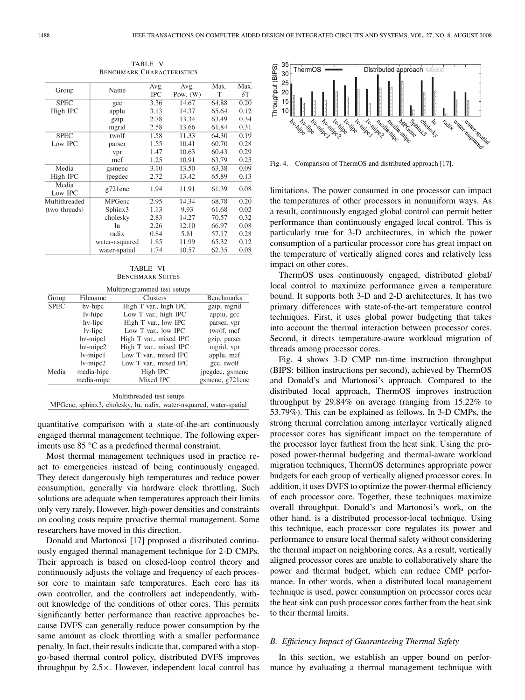|                  |                | Avg. | Avg.       | Max.  | Max.       |
|------------------|----------------|------|------------|-------|------------|
| Group            | Name           | IPC  | Pow. $(W)$ | т     | $\delta T$ |
| <b>SPEC</b>      | gcc            | 3.36 | 14.67      | 64.88 | 0.20       |
| High IPC         | applu          | 3.13 | 14.37      | 65.64 | 0.12       |
|                  | gzip           | 2.78 | 13.34      | 63.49 | 0.34       |
|                  | mgrid          | 2.58 | 13.66      | 61.84 | 0.31       |
| <b>SPEC</b>      | twolf          | 1.58 | 11.33      | 64.30 | 0.19       |
| Low IPC          | parser         | 1.55 | 10.41      | 60.70 | 0.28       |
|                  | vpr            | 1.47 | 10.63      | 60.43 | 0.29       |
|                  | mcf            | 1.25 | 10.91      | 63.79 | 0.25       |
| Media            | gsmenc         | 3.10 | 13.50      | 63.38 | 0.09       |
| High IPC         | jpegdec        | 2.72 | 13.42      | 65.89 | 0.13       |
| Media<br>Low IPC | $g721$ enc     | 1.94 | 11.91      | 61.39 | 0.08       |
| Multithreaded    | MPGenc         | 2.95 | 14.34      | 68.78 | 0.20       |
| (two threads)    | Sphinx3        | 1.13 | 9.93       | 61.68 | 0.02       |
|                  | cholesky       | 2.83 | 14.27      | 70.57 | 0.32       |
|                  | lu             | 2.26 | 12.10      | 66.97 | 0.08       |
|                  | radix          | 0.84 | 5.81       | 57.17 | 0.28       |
|                  | water-nsquared | 1.85 | 11.99      | 65.32 | 0.12       |
|                  | water-spatial  | 1.74 | 10.57      | 62.35 | 0.08       |

TABLE V BENCHMARK CHARACTERISTICS

| TABLE VI         |  |
|------------------|--|
| Benchmark Suites |  |

| Multiprogrammed test setups |                |                        |                   |  |  |
|-----------------------------|----------------|------------------------|-------------------|--|--|
| Group<br>Filename           |                | <b>Clusters</b>        | <b>Benchmarks</b> |  |  |
| <b>SPEC</b>                 | hv-hipc        | High T var., high IPC  | gzip, mgrid       |  |  |
|                             | lv-hipc        | Low T var., high IPC   | applu, gcc        |  |  |
|                             | hv-lipc        | High T var., low IPC   | parser, vpr       |  |  |
|                             | $1v$ -lipc     | Low T var., low IPC    | twolf, mcf        |  |  |
|                             | hv-mipc1       | High T var., mixed IPC | gzip, parser      |  |  |
|                             | hv-mipc2       | High T var., mixed IPC | mgrid, vpr        |  |  |
|                             | $lv$ -mipc $1$ | Low T var., mixed IPC  | applu, mcf        |  |  |
|                             | lv-mipc2       | Low T var., mixed IPC  | gcc, twolf        |  |  |
| Media                       | media-hipc     | High IPC               | jpegdec, gsmenc   |  |  |
|                             | media-mipc     | Mixed IPC              | gsmenc, g721enc   |  |  |
| Multithreaded test setups   |                |                        |                   |  |  |

MPGenc, sphinx3, cholesky, lu, radix, water-nsquared, water-spatial

quantitative comparison with a state-of-the-art continuously engaged thermal management technique. The following experiments use 85 ◦C as a predefined thermal constraint.

Most thermal management techniques used in practice react to emergencies instead of being continuously engaged. They detect dangerously high temperatures and reduce power consumption, generally via hardware clock throttling. Such solutions are adequate when temperatures approach their limits only very rarely. However, high-power densities and constraints on cooling costs require proactive thermal management. Some researchers have moved in this direction.

Donald and Martonosi [17] proposed a distributed continuously engaged thermal management technique for 2-D CMPs. Their approach is based on closed-loop control theory and continuously adjusts the voltage and frequency of each processor core to maintain safe temperatures. Each core has its own controller, and the controllers act independently, without knowledge of the conditions of other cores. This permits significantly better performance than reactive approaches because DVFS can generally reduce power consumption by the same amount as clock throttling with a smaller performance penalty. In fact, their results indicate that, compared with a stopgo-based thermal control policy, distributed DVFS improves throughput by  $2.5 \times$ . However, independent local control has



Fig. 4. Comparison of ThermOS and distributed approach [17].

limitations. The power consumed in one processor can impact the temperatures of other processors in nonuniform ways. As a result, continuously engaged global control can permit better performance than continuously engaged local control. This is particularly true for 3-D architectures, in which the power consumption of a particular processor core has great impact on the temperature of vertically aligned cores and relatively less impact on other cores.

ThermOS uses continuously engaged, distributed global/ local control to maximize performance given a temperature bound. It supports both 3-D and 2-D architectures. It has two primary differences with state-of-the-art temperature control techniques. First, it uses global power budgeting that takes into account the thermal interaction between processor cores. Second, it directs temperature-aware workload migration of threads among processor cores.

Fig. 4 shows 3-D CMP run-time instruction throughput (BIPS: billion instructions per second), achieved by ThermOS and Donald's and Martonosi's approach. Compared to the distributed local approach, ThermOS improves instruction throughput by 29.84% on average (ranging from 15.22% to 53.79%). This can be explained as follows. In 3-D CMPs, the strong thermal correlation among interlayer vertically aligned processor cores has significant impact on the temperature of the processor layer farthest from the heat sink. Using the proposed power-thermal budgeting and thermal-aware workload migration techniques, ThermOS determines appropriate power budgets for each group of vertically aligned processor cores. In addition, it uses DVFS to optimize the power-thermal efficiency of each processor core. Together, these techniques maximize overall throughput. Donald's and Martonosi's work, on the other hand, is a distributed processor-local technique. Using this technique, each processor core regulates its power and performance to ensure local thermal safety without considering the thermal impact on neighboring cores. As a result, vertically aligned processor cores are unable to collaboratively share the power and thermal budget, which can reduce CMP performance. In other words, when a distributed local management technique is used, power consumption on processor cores near the heat sink can push processor cores farther from the heat sink to their thermal limits.

# *B. Efficiency Impact of Guaranteeing Thermal Safety*

In this section, we establish an upper bound on performance by evaluating a thermal management technique with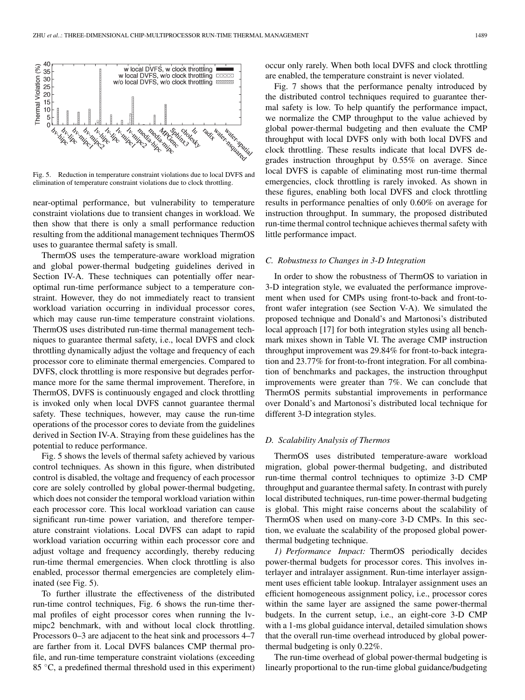

Fig. 5. Reduction in temperature constraint violations due to local DVFS and elimination of temperature constraint violations due to clock throttling.

near-optimal performance, but vulnerability to temperature constraint violations due to transient changes in workload. We then show that there is only a small performance reduction resulting from the additional management techniques ThermOS uses to guarantee thermal safety is small.

ThermOS uses the temperature-aware workload migration and global power-thermal budgeting guidelines derived in Section IV-A. These techniques can potentially offer nearoptimal run-time performance subject to a temperature constraint. However, they do not immediately react to transient workload variation occurring in individual processor cores, which may cause run-time temperature constraint violations. ThermOS uses distributed run-time thermal management techniques to guarantee thermal safety, i.e., local DVFS and clock throttling dynamically adjust the voltage and frequency of each processor core to eliminate thermal emergencies. Compared to DVFS, clock throttling is more responsive but degrades performance more for the same thermal improvement. Therefore, in ThermOS, DVFS is continuously engaged and clock throttling is invoked only when local DVFS cannot guarantee thermal safety. These techniques, however, may cause the run-time operations of the processor cores to deviate from the guidelines derived in Section IV-A. Straying from these guidelines has the potential to reduce performance.

Fig. 5 shows the levels of thermal safety achieved by various control techniques. As shown in this figure, when distributed control is disabled, the voltage and frequency of each processor core are solely controlled by global power-thermal budgeting, which does not consider the temporal workload variation within each processor core. This local workload variation can cause significant run-time power variation, and therefore temperature constraint violations. Local DVFS can adapt to rapid workload variation occurring within each processor core and adjust voltage and frequency accordingly, thereby reducing run-time thermal emergencies. When clock throttling is also enabled, processor thermal emergencies are completely eliminated (see Fig. 5).

To further illustrate the effectiveness of the distributed run-time control techniques, Fig. 6 shows the run-time thermal profiles of eight processor cores when running the lvmipc2 benchmark, with and without local clock throttling. Processors 0–3 are adjacent to the heat sink and processors 4–7 are farther from it. Local DVFS balances CMP thermal profile, and run-time temperature constraint violations (exceeding 85 ◦C, a predefined thermal threshold used in this experiment)

occur only rarely. When both local DVFS and clock throttling are enabled, the temperature constraint is never violated.

Fig. 7 shows that the performance penalty introduced by the distributed control techniques required to guarantee thermal safety is low. To help quantify the performance impact, we normalize the CMP throughput to the value achieved by global power-thermal budgeting and then evaluate the CMP throughput with local DVFS only with both local DVFS and clock throttling. These results indicate that local DVFS degrades instruction throughput by 0.55% on average. Since local DVFS is capable of eliminating most run-time thermal emergencies, clock throttling is rarely invoked. As shown in these figures, enabling both local DVFS and clock throttling results in performance penalties of only 0.60% on average for instruction throughput. In summary, the proposed distributed run-time thermal control technique achieves thermal safety with little performance impact.

## *C. Robustness to Changes in 3-D Integration*

In order to show the robustness of ThermOS to variation in 3-D integration style, we evaluated the performance improvement when used for CMPs using front-to-back and front-tofront wafer integration (see Section V-A). We simulated the proposed technique and Donald's and Martonosi's distributed local approach [17] for both integration styles using all benchmark mixes shown in Table VI. The average CMP instruction throughput improvement was 29.84% for front-to-back integration and 23.77% for front-to-front integration. For all combination of benchmarks and packages, the instruction throughput improvements were greater than 7%. We can conclude that ThermOS permits substantial improvements in performance over Donald's and Martonosi's distributed local technique for different 3-D integration styles.

#### *D. Scalability Analysis of Thermos*

ThermOS uses distributed temperature-aware workload migration, global power-thermal budgeting, and distributed run-time thermal control techniques to optimize 3-D CMP throughput and guarantee thermal safety. In contrast with purely local distributed techniques, run-time power-thermal budgeting is global. This might raise concerns about the scalability of ThermOS when used on many-core 3-D CMPs. In this section, we evaluate the scalability of the proposed global powerthermal budgeting technique.

*1) Performance Impact:* ThermOS periodically decides power-thermal budgets for processor cores. This involves interlayer and intralayer assignment. Run-time interlayer assignment uses efficient table lookup. Intralayer assignment uses an efficient homogeneous assignment policy, i.e., processor cores within the same layer are assigned the same power-thermal budgets. In the current setup, i.e., an eight-core 3-D CMP with a 1-ms global guidance interval, detailed simulation shows that the overall run-time overhead introduced by global powerthermal budgeting is only 0.22%.

The run-time overhead of global power-thermal budgeting is linearly proportional to the run-time global guidance/budgeting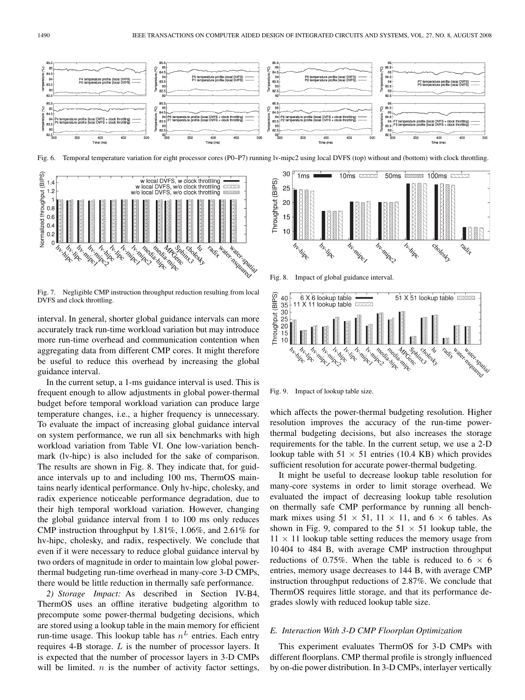

Fig. 6. Temporal temperature variation for eight processor cores (P0–P7) running lv-mipc2 using local DVFS (top) without and (bottom) with clock throttling.



Fig. 7. Negligible CMP instruction throughput reduction resulting from local DVFS and clock throttling.

interval. In general, shorter global guidance intervals can more accurately track run-time workload variation but may introduce more run-time overhead and communication contention when aggregating data from different CMP cores. It might therefore be useful to reduce this overhead by increasing the global guidance interval.

In the current setup, a 1-ms guidance interval is used. This is frequent enough to allow adjustments in global power-thermal budget before temporal workload variation can produce large temperature changes, i.e., a higher frequency is unnecessary. To evaluate the impact of increasing global guidance interval on system performance, we run all six benchmarks with high workload variation from Table VI. One low-variation benchmark (lv-hipc) is also included for the sake of comparison. The results are shown in Fig. 8. They indicate that, for guidance intervals up to and including 100 ms, ThermOS maintains nearly identical performance. Only hv-hipc, cholesky, and radix experience noticeable performance degradation, due to their high temporal workload variation. However, changing the global guidance interval from 1 to 100 ms only reduces CMP instruction throughput by 1.81%, 1.06%, and 2.61% for hv-hipc, cholesky, and radix, respectively. We conclude that even if it were necessary to reduce global guidance interval by two orders of magnitude in order to maintain low global powerthermal budgeting run-time overhead in many-core 3-D CMPs, there would be little reduction in thermally safe performance.

*2) Storage Impact:* As described in Section IV-B4, ThermOS uses an offline iterative budgeting algorithm to precompute some power-thermal budgeting decisions, which are stored using a lookup table in the main memory for efficient run-time usage. This lookup table has  $n<sup>L</sup>$  entries. Each entry requires 4-B storage. L is the number of processor layers. It is expected that the number of processor layers in 3-D CMPs will be limited.  $n$  is the number of activity factor settings,



Fig. 8. Impact of global guidance interval.



Fig. 9. Impact of lookup table size.

which affects the power-thermal budgeting resolution. Higher resolution improves the accuracy of the run-time powerthermal budgeting decisions, but also increases the storage requirements for the table. In the current setup, we use a 2-D lookup table with  $51 \times 51$  entries (10.4 KB) which provides sufficient resolution for accurate power-thermal budgeting.

It might be useful to decrease lookup table resolution for many-core systems in order to limit storage overhead. We evaluated the impact of decreasing lookup table resolution on thermally safe CMP performance by running all benchmark mixes using  $51 \times 51$ ,  $11 \times 11$ , and  $6 \times 6$  tables. As shown in Fig. 9, compared to the  $51 \times 51$  lookup table, the  $11 \times 11$  lookup table setting reduces the memory usage from 10 404 to 484 B, with average CMP instruction throughput reductions of 0.75%. When the table is reduced to  $6 \times 6$ entries, memory usage decreases to 144 B, with average CMP instruction throughput reductions of 2.87%. We conclude that ThermOS requires little storage, and that its performance degrades slowly with reduced lookup table size.

# *E. Interaction With 3-D CMP Floorplan Optimization*

This experiment evaluates ThermOS for 3-D CMPs with different floorplans. CMP thermal profile is strongly influenced by on-die power distribution. In 3-D CMPs, interlayer vertically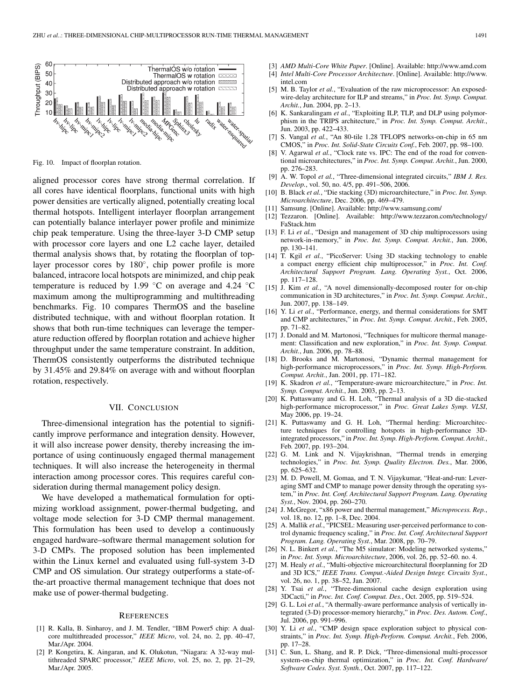

Fig. 10. Impact of floorplan rotation.

aligned processor cores have strong thermal correlation. If all cores have identical floorplans, functional units with high power densities are vertically aligned, potentially creating local thermal hotspots. Intelligent interlayer floorplan arrangement can potentially balance interlayer power profile and minimize chip peak temperature. Using the three-layer 3-D CMP setup with processor core layers and one L2 cache layer, detailed thermal analysis shows that, by rotating the floorplan of toplayer processor cores by 180°, chip power profile is more balanced, intracore local hotspots are minimized, and chip peak temperature is reduced by 1.99  $°C$  on average and 4.24  $°C$ maximum among the multiprogramming and multithreading benchmarks. Fig. 10 compares ThermOS and the baseline distributed technique, with and without floorplan rotation. It shows that both run-time techniques can leverage the temperature reduction offered by floorplan rotation and achieve higher throughput under the same temperature constraint. In addition, ThermOS consistently outperforms the distributed technique by 31.45% and 29.84% on average with and without floorplan rotation, respectively.

## VII. CONCLUSION

Three-dimensional integration has the potential to significantly improve performance and integration density. However, it will also increase power density, thereby increasing the importance of using continuously engaged thermal management techniques. It will also increase the heterogeneity in thermal interaction among processor cores. This requires careful consideration during thermal management policy design.

We have developed a mathematical formulation for optimizing workload assignment, power-thermal budgeting, and voltage mode selection for 3-D CMP thermal management. This formulation has been used to develop a continuously engaged hardware–software thermal management solution for 3-D CMPs. The proposed solution has been implemented within the Linux kernel and evaluated using full-system 3-D CMP and OS simulation. Our strategy outperforms a state-ofthe-art proactive thermal management technique that does not make use of power-thermal budgeting.

#### **REFERENCES**

- [1] R. Kalla, B. Sinharoy, and J. M. Tendler, "IBM Power5 chip: A dualcore multithreaded processor," *IEEE Micro*, vol. 24, no. 2, pp. 40–47, Mar./Apr. 2004.
- [2] P. Kongetira, K. Aingaran, and K. Olukotun, "Niagara: A 32-way multithreaded SPARC processor," *IEEE Micro*, vol. 25, no. 2, pp. 21–29, Mar./Apr. 2005.
- [3] *AMD Multi-Core White Paper*. [Online]. Available: http://www.amd.com
- [4] *Intel Multi-Core Processor Architecture*. [Online]. Available: http://www. intel.com
- [5] M. B. Taylor *et al.*, "Evaluation of the raw microprocessor: An exposedwire-delay architecture for ILP and streams," in *Proc. Int. Symp. Comput. Archit.*, Jun. 2004, pp. 2–13.
- [6] K. Sankaralingam *et al.*, "Exploiting ILP, TLP, and DLP using polymorphism in the TRIPS architecture," in *Proc. Int. Symp. Comput. Archit.*, Jun. 2003, pp. 422–433.
- [7] S. Vangal *et al.*, "An 80-tile 1.28 TFLOPS networks-on-chip in 65 nm CMOS," in *Proc. Int. Solid-State Circuits Conf.*, Feb. 2007, pp. 98–100.
- [8] V. Agarwal *et al.*, "Clock rate vs. IPC: The end of the road for conventional microarchitectures," in *Proc. Int. Symp. Comput. Archit.*, Jun. 2000, pp. 276–283.
- [9] A. W. Topol *et al.*, "Three-dimensional integrated circuits," *IBM J. Res. Develop.*, vol. 50, no. 4/5, pp. 491–506, 2006.
- [10] B. Black *et al.*, "Die stacking (3D) microarchitecture," in *Proc. Int. Symp. Microarchitecture*, Dec. 2006, pp. 469–479.
- [11] Samsung. [Online]. Available: http://www.samsung.com/
- [12] Tezzaron. [Online]. Available: http://www.tezzaron.com/technology/ FaStack.htm
- [13] F. Li *et al.*, "Design and management of 3D chip multiprocessors using network-in-memory," in *Proc. Int. Symp. Comput. Archit.*, Jun. 2006, pp. 130–141.
- [14] T. Kgil *et al.*, "PicoServer: Using 3D stacking technology to enable a compact energy efficient chip multiprocessor," in *Proc. Int. Conf. Architectural Support Program. Lang. Operating Syst.*, Oct. 2006, pp. 117–128.
- [15] J. Kim et al., "A novel dimensionally-decomposed router for on-chip communication in 3D architectures," in *Proc. Int. Symp. Comput. Archit.*, Jun. 2007, pp. 138–149.
- [16] Y. Li et al., "Performance, energy, and thermal considerations for SMT and CMP architectures," in *Proc. Int. Symp. Comput. Archit.*, Feb. 2005, pp. 71–82.
- [17] J. Donald and M. Martonosi, "Techniques for multicore thermal management: Classification and new exploration," in *Proc. Int. Symp. Comput. Archit.*, Jun. 2006, pp. 78–88.
- [18] D. Brooks and M. Martonosi, "Dynamic thermal management for high-performance microprocessors," in *Proc. Int. Symp. High-Perform. Comput. Archit.*, Jan. 2001, pp. 171–182.
- [19] K. Skadron *et al.*, "Temperature-aware microarchitecture," in *Proc. Int. Symp. Comput. Archit.*, Jun. 2003, pp. 2–13.
- [20] K. Puttaswamy and G. H. Loh, "Thermal analysis of a 3D die-stacked high-performance microprocessor," in *Proc. Great Lakes Symp. VLSI*, May 2006, pp. 19–24.
- [21] K. Puttaswamy and G. H. Loh, "Thermal herding: Microarchitecture techniques for controlling hotspots in high-performance 3Dintegrated processors," in *Proc. Int. Symp. High-Perform. Comput. Archit.*, Feb. 2007, pp. 193–204.
- [22] G. M. Link and N. Vijaykrishnan, "Thermal trends in emerging technologies," in *Proc. Int. Symp. Quality Electron. Des.*, Mar. 2006, pp. 625–632.
- [23] M. D. Powell, M. Gomaa, and T. N. Vijaykumar, "Heat-and-run: Leveraging SMT and CMP to manage power density through the operating system," in *Proc. Int. Conf. Architectural Support Program. Lang. Operating Syst.*, Nov. 2004, pp. 260–270.
- [24] J. McGregor, "x86 power and thermal management," *Microprocess. Rep.*, vol. 18, no. 12, pp. 1-8, Dec. 2004.
- [25] A. Mallik et al., "PICSEL: Measuring user-perceived performance to control dynamic frequency scaling," in *Proc. Int. Conf. Architectural Support Program. Lang. Operating Syst.*, Mar. 2008, pp. 70–79.
- [26] N. L. Binkert et al., "The M5 simulator: Modeling networked systems," in *Proc. Int. Symp. Microarchitecture*, 2006, vol. 26, pp. 52–60. no. 4.
- [27] M. Healy *et al.*, "Multi-objective microarchitectural floorplanning for 2D and 3D ICS," *IEEE Trans. Comput.-Aided Design Integr. Circuits Syst.*, vol. 26, no. 1, pp. 38–52, Jan. 2007.
- [28] Y. Tsai et al., "Three-dimensional cache design exploration using 3DCacti," in *Proc. Int. Conf. Comput. Des.*, Oct. 2005, pp. 519–524.
- [29] G. L. Loi *et al.*, "A thermally-aware performance analysis of vertically integrated (3-D) processor-memory hierarchy," in *Proc. Des. Autom. Conf.*, Jul. 2006, pp. 991–996.
- [30] Y. Li et al., "CMP design space exploration subject to physical constraints," in *Proc. Int. Symp. High-Perform. Comput. Archit.*, Feb. 2006, pp. 17–28.
- [31] C. Sun, L. Shang, and R. P. Dick, "Three-dimensional multi-processor system-on-chip thermal optimization," in *Proc. Int. Conf. Hardware/ Software Codes. Syst. Synth.*, Oct. 2007, pp. 117–122.